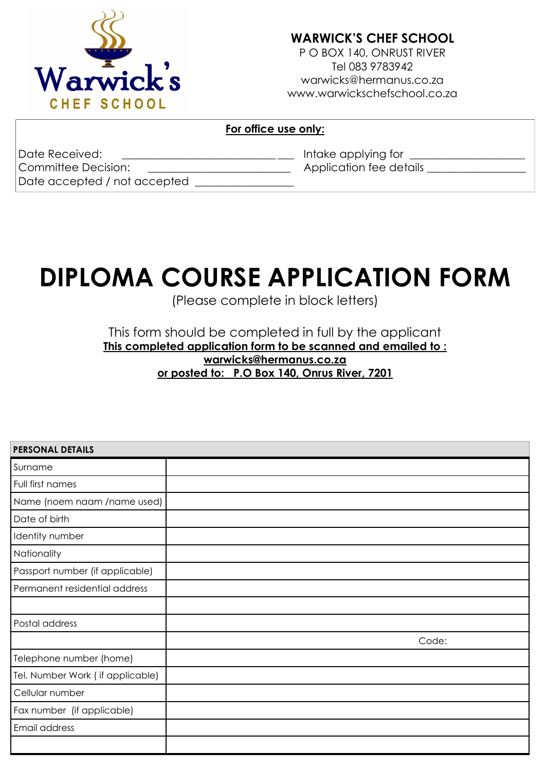

## **WARWICK'S CHEF SCHOOL**

P O BOX 140, ONRUST RIVER Tel 083 9783942 warwicks@hermanus.co.za www.warwickschefschool.co.za

## **For office use only:**

| Date Received:               | Intake applying for     |
|------------------------------|-------------------------|
| Committee Decision:          | Application fee details |
| Date accepted / not accepted |                         |

# **DIPLOMA COURSE APPLICATION FORM**

(Please complete in block letters)

## This form should be completed in full by the applicant **This completed application form to be scanned and emailed to : warwicks@hermanus.co.za or posted to: P.O Box 140, Onrus River, 7201**

| <b>PERSONAL DETAILS</b>          |       |
|----------------------------------|-------|
| Surname                          |       |
| Full first names                 |       |
| Name (noem naam /name used)      |       |
| Date of birth                    |       |
| Identity number                  |       |
| Nationality                      |       |
| Passport number (if applicable)  |       |
| Permanent residential address    |       |
|                                  |       |
| Postal address                   |       |
|                                  | Code: |
| Telephone number (home)          |       |
| Tel. Number Work (if applicable) |       |
| Cellular number                  |       |
| Fax number (if applicable)       |       |
| Email address                    |       |
|                                  |       |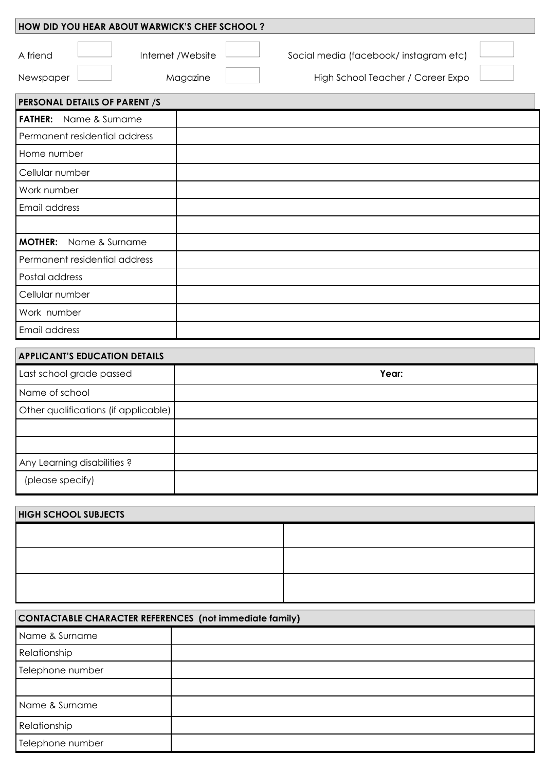| HOW DID YOU HEAR ABOUT WARWICK'S CHEF SCHOOL? |                               |                                                                            |  |
|-----------------------------------------------|-------------------------------|----------------------------------------------------------------------------|--|
| A friend<br>Newspaper                         | Internet /Website<br>Magazine | Social media (facebook/instagram etc)<br>High School Teacher / Career Expo |  |
| PERSONAL DETAILS OF PARENT /S                 |                               |                                                                            |  |
| Name & Surname<br><b>FATHER:</b>              |                               |                                                                            |  |
| Permanent residential address                 |                               |                                                                            |  |
| Home number                                   |                               |                                                                            |  |
| Cellular number                               |                               |                                                                            |  |
| Work number                                   |                               |                                                                            |  |
| Email address                                 |                               |                                                                            |  |
|                                               |                               |                                                                            |  |
| <b>MOTHER:</b> Name & Surname                 |                               |                                                                            |  |
| Permanent residential address                 |                               |                                                                            |  |
| Postal address                                |                               |                                                                            |  |
| Cellular number                               |                               |                                                                            |  |
| Work number                                   |                               |                                                                            |  |
| Email address                                 |                               |                                                                            |  |
| <b>APPLICANT'S EDUCATION DETAILS</b>          |                               |                                                                            |  |
| Last school grade passed                      |                               | Year:                                                                      |  |
| Name of school                                |                               |                                                                            |  |
| Other qualifications (if applicable)          |                               |                                                                            |  |
|                                               |                               |                                                                            |  |

| Any Learning disabilities? |  |
|----------------------------|--|
| (please specify)           |  |

| <b>HIGH SCHOOL SUBJECTS</b> |  |
|-----------------------------|--|
|                             |  |
|                             |  |
|                             |  |
|                             |  |
|                             |  |

| <b>CONTACTABLE CHARACTER REFERENCES</b> (not immediate family) |  |
|----------------------------------------------------------------|--|
| Name & Surname                                                 |  |
| Relationship                                                   |  |
| Telephone number                                               |  |
|                                                                |  |
| Name & Surname                                                 |  |
| Relationship                                                   |  |
| Telephone number                                               |  |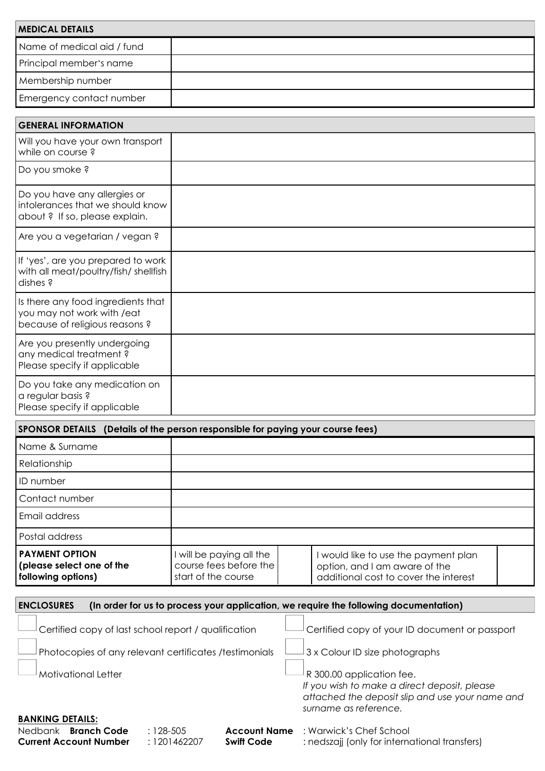| <b>MEDICAL DETAILS</b>                                                                             |                                                                           |                                                                                                                                                       |
|----------------------------------------------------------------------------------------------------|---------------------------------------------------------------------------|-------------------------------------------------------------------------------------------------------------------------------------------------------|
| Name of medical aid / fund                                                                         |                                                                           |                                                                                                                                                       |
| Principal member's name                                                                            |                                                                           |                                                                                                                                                       |
| Membership number                                                                                  |                                                                           |                                                                                                                                                       |
| Emergency contact number                                                                           |                                                                           |                                                                                                                                                       |
| <b>GENERAL INFORMATION</b>                                                                         |                                                                           |                                                                                                                                                       |
| Will you have your own transport<br>while on course?                                               |                                                                           |                                                                                                                                                       |
| Do you smoke ?                                                                                     |                                                                           |                                                                                                                                                       |
| Do you have any allergies or<br>intolerances that we should know<br>about ? If so, please explain. |                                                                           |                                                                                                                                                       |
| Are you a vegetarian / vegan ?                                                                     |                                                                           |                                                                                                                                                       |
| If 'yes', are you prepared to work<br>with all meat/poultry/fish/ shellfish<br>dishes?             |                                                                           |                                                                                                                                                       |
| Is there any food ingredients that<br>you may not work with /eat<br>because of religious reasons ? |                                                                           |                                                                                                                                                       |
| Are you presently undergoing<br>any medical treatment?<br>Please specify if applicable             |                                                                           |                                                                                                                                                       |
| Do you take any medication on<br>a regular basis ?<br>Please specify if applicable                 |                                                                           |                                                                                                                                                       |
| SPONSOR DETAILS (Details of the person responsible for paying your course fees)                    |                                                                           |                                                                                                                                                       |
| Name & Surname                                                                                     |                                                                           |                                                                                                                                                       |
| Relationship                                                                                       |                                                                           |                                                                                                                                                       |
| ID number                                                                                          |                                                                           |                                                                                                                                                       |
| Contact number                                                                                     |                                                                           |                                                                                                                                                       |
| Email address                                                                                      |                                                                           |                                                                                                                                                       |
| Postal address                                                                                     |                                                                           |                                                                                                                                                       |
| <b>PAYMENT OPTION</b><br>(please select one of the<br>following options)                           | I will be paying all the<br>course fees before the<br>start of the course | I would like to use the payment plan<br>option, and I am aware of the<br>additional cost to cover the interest                                        |
| <b>ENCLOSURES</b>                                                                                  |                                                                           | (In order for us to process your application, we require the following documentation)                                                                 |
|                                                                                                    |                                                                           |                                                                                                                                                       |
| Certified copy of last school report / qualification                                               |                                                                           | Certified copy of your ID document or passport                                                                                                        |
| Photocopies of any relevant certificates /testimonials                                             |                                                                           | 3 x Colour ID size photographs                                                                                                                        |
| <b>Motivational Letter</b>                                                                         |                                                                           | R 300.00 application fee.<br>If you wish to make a direct deposit, please<br>attached the deposit slip and use your name and<br>surname as reference. |
| <b>BANKING DETAILS:</b><br>Nedbank Branch Code<br>$: 128 - 505$<br><b>Current Account Number</b>   | <b>Account Name</b><br>: 1201462207<br><b>Swift Code</b>                  | : Warwick's Chef School<br>: nedszajj (only for international transfers)                                                                              |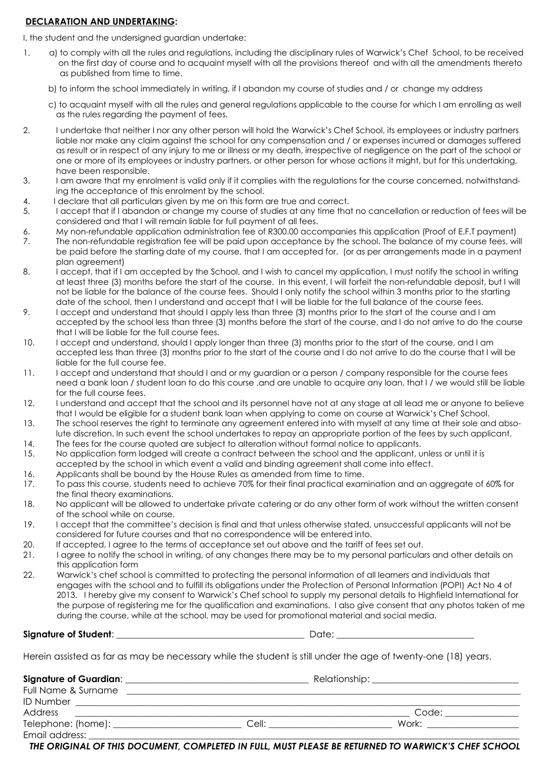#### **DECLARATION AND UNDERTAKING:**

I, the student and the undersigned guardian undertake:

- 1. a) to comply with all the rules and regulations, including the disciplinary rules of Warwick's Chef School, to be received on the first day of course and to acquaint myself with all the provisions thereof and with all the amendments thereto as published from time to time.
	- b) to inform the school immediately in writing, if I abandon my course of studies and / or change my address
	- c) to acquaint myself with all the rules and general regulations applicable to the course for which I am enrolling as well as the rules regarding the payment of fees.
- 2. I undertake that neither I nor any other person will hold the Warwick's Chef School, its employees or industry partners liable nor make any claim against the school for any compensation and / or expenses incurred or damages suffered as result or in respect of any injury to me or illness or my death, irrespective of negligence on the part of the school or one or more of its employees or industry partners, or other person for whose actions it might, but for this undertaking, have been responsible.
- 3. I am aware that my enrolment is valid only if it complies with the regulations for the course concerned, notwithstanding the acceptance of this enrolment by the school.
- 4. I declare that all particulars given by me on this form are true and correct.
- 5. I accept that if I abandon or change my course of studies at any time that no cancellation or reduction of fees will be considered and that I will remain liable for full payment of all fees.
- 6. My non-refundable application administration fee of R300.00 accompanies this application (Proof of E.F.T payment)
- 7. The non-refundable registration fee will be paid upon acceptance by the school. The balance of my course fees, will be paid before the starting date of my course, that I am accepted for. (or as per arrangements made in a payment plan agreement)
- 8. I accept, that if I am accepted by the School, and I wish to cancel my application, I must notify the school in writing at least three (3) months before the start of the course. In this event, I will forfeit the non-refundable deposit, but I will not be liable for the balance of the course fees. Should I only notify the school within 3 months prior to the starting date of the school, then I understand and accept that I will be liable for the full balance of the course fees.
- 9. I accept and understand that should I apply less than three (3) months prior to the start of the course and I am accepted by the school less than three (3) months before the start of the course, and I do not arrive to do the course that I will be liable for the full course fees.
- 10. I accept and understand, should I apply longer than three (3) months prior to the start of the course, and I am accepted less than three (3) months prior to the start of the course and I do not arrive to do the course that I will be liable for the full course fee.
- 11. I accept and understand that should I and or my guardian or a person / company responsible for the course fees need a bank loan / student loan to do this course ,and are unable to acquire any loan, that I / we would still be liable for the full course fees.
- 12. I understand and accept that the school and its personnel have not at any stage at all lead me or anyone to believe that I would be eligible for a student bank loan when applying to come on course at Warwick's Chef School.
- 13. The school reserves the right to terminate any agreement entered into with myself at any time at their sole and absolute discretion. In such event the school undertakes to repay an appropriate portion of the fees by such applicant.
- 14. The fees for the course quoted are subject to alteration without formal notice to applicants.
- 15. No application form lodged will create a contract between the school and the applicant, unless or until it is accepted by the school in which event a valid and binding agreement shall come into effect.
- 16. Applicants shall be bound by the House Rules as amended from time to time.
- 17. To pass this course, students need to achieve 70% for their final practical examination and an aggregate of 60% for the final theory examinations.
- 18. No applicant will be allowed to undertake private catering or do any other form of work without the written consent of the school while on course.
- 19. I accept that the committee's decision is final and that unless otherwise stated, unsuccessful applicants will not be considered for future courses and that no correspondence will be entered into.
- 20. If accepted, I agree to the terms of acceptance set out above and the tariff of fees set out.
- 21. I agree to notify the school in writing, of any changes there may be to my personal particulars and other details on this application form
- 22. Warwick's chef school is committed to protecting the personal information of all learners and individuals that engages with the school and to fulfill its obligations under the Protection of Personal Information (POPI) Act No 4 of 2013. I hereby give my consent to Warwick's Chef school to supply my personal details to Highfield International for the purpose of registering me for the qualification and examinations. I also give consent that any photos taken of me during the course, while at the school, may be used for promotional material and social media.

**Signature of Student**: \_\_\_\_\_\_\_\_\_\_\_\_\_\_\_\_\_\_\_\_\_\_\_\_\_\_\_\_\_\_\_\_\_\_\_\_\_\_\_\_\_ Date: \_\_\_\_\_\_\_\_\_\_\_\_\_\_\_\_\_\_\_\_\_\_\_\_\_\_\_\_\_\_

Herein assisted as far as may be necessary while the student is still under the age of twenty-one (18) years.

**Signature of Guardian**: \_\_\_\_\_\_\_\_\_\_\_\_\_\_\_\_\_\_\_\_\_\_\_\_\_\_\_\_\_\_\_\_\_\_\_\_\_\_\_\_ Relationship: \_\_\_\_\_\_\_\_\_\_\_\_\_\_\_\_\_\_\_\_\_\_\_\_\_\_\_\_\_\_\_\_ Full Name & Surname \_\_\_\_\_\_\_\_\_\_\_\_\_\_\_\_\_\_\_\_\_\_\_\_\_\_\_\_\_\_\_\_\_\_\_\_\_\_\_\_\_\_\_\_\_\_\_\_\_\_\_\_\_\_\_\_\_\_\_\_\_\_\_\_\_\_\_\_\_\_\_\_\_\_\_\_\_\_\_\_\_\_\_\_\_\_ ID Number \_\_\_\_\_\_\_\_\_\_\_\_\_\_\_\_\_\_\_\_\_\_\_\_\_\_\_\_\_\_\_\_\_\_\_\_\_\_\_\_\_\_\_\_\_\_\_\_\_\_\_\_\_\_\_\_\_\_\_\_\_\_\_\_\_\_\_\_\_\_\_\_\_\_\_\_\_\_\_\_\_\_\_\_\_\_\_\_\_\_\_\_\_\_\_\_\_ Address \_\_\_\_\_\_\_\_\_\_\_\_\_\_\_\_\_\_\_\_\_\_\_\_\_\_\_\_\_\_\_\_\_\_\_\_\_\_\_\_\_\_\_\_\_\_\_\_\_\_\_\_\_\_\_\_\_\_\_\_\_\_\_\_\_\_\_\_\_\_\_\_\_ Code: \_\_\_\_\_\_\_\_\_\_\_\_\_\_\_\_ Telephone: (home): \_\_\_\_\_\_\_\_\_\_\_\_\_\_\_\_\_\_\_\_\_\_\_\_\_\_\_\_ Cell: \_\_\_\_\_\_\_\_\_\_\_\_\_\_\_\_\_\_\_\_\_\_\_\_\_\_\_ Work: \_\_\_\_\_\_\_\_\_\_\_\_\_\_\_\_\_\_\_\_ Email address:

*THE ORIGINAL OF THIS DOCUMENT, COMPLETED IN FULL, MUST PLEASE BE RETURNED TO WARWICK'S CHEF SCHOOL*